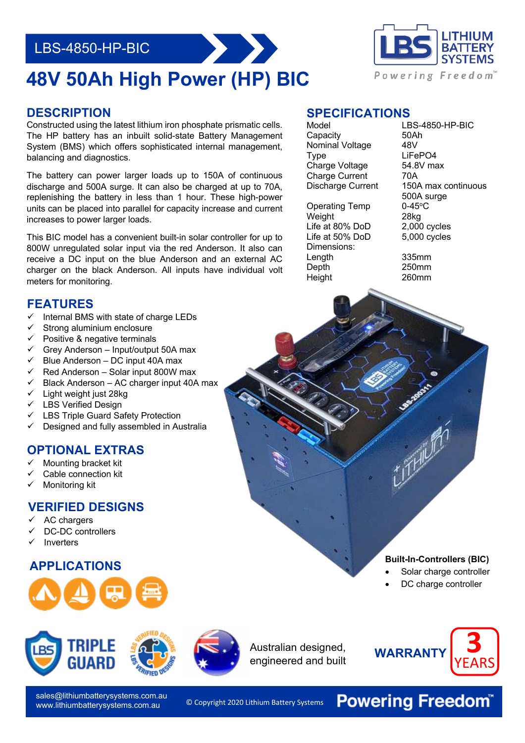## LBS-4850-HP-BIC

# **48V 50Ah High Power (HP) BIC**

#### **DESCRIPTION**

Constructed using the latest lithium iron phosphate prismatic cells. The HP battery has an inbuilt solid-state Battery Management System (BMS) which offers sophisticated internal management, balancing and diagnostics.

The battery can power larger loads up to 150A of continuous discharge and 500A surge. It can also be charged at up to 70A, replenishing the battery in less than 1 hour. These high-power units can be placed into parallel for capacity increase and current increases to power larger loads.

 800W unregulated solar input via the red Anderson. It also can This BIC model has a convenient built-in solar controller for up to receive a DC input on the blue Anderson and an external AC charger on the black Anderson. All inputs have individual volt meters for monitoring.

### **FEATURES**

- Internal BMS with state of charge LEDs
- Strong aluminium enclosure
- $\checkmark$  Positive & negative terminals
- $\checkmark$  Grey Anderson Input/output 50A max<br> $\checkmark$  Blue Anderson DC input 40A max
- Blue Anderson DC input 40A max
- Red Anderson Solar input 800W max
- ü Black Anderson AC charger input 40A max
- $\checkmark$  Light weight just 28kg
- $\checkmark$  LBS Verified Design
- LBS Triple Guard Safety Protection
- Designed and fully assembled in Australia

#### **OPTIONAL EXTRAS**

- ü Mounting bracket kit
- Cable connection kit
- Monitoring kit

#### **VERIFIED DESIGNS**

- AC chargers
- DC-DC controllers
- **Inverters**

### **APPLICATIONS Built-In-Controllers (BIC)**





sales@lithiumbatterysystems.com.au www.lithiumbatterysystems.com.au

© Copyright 2020 Lithium Battery Systems

Australian designed, engineered and built



### **SPECIFICATIONS**

Capacity 50Ah<br>Nominal Voltage 48V Nominal Voltage Type LiFePO4 Charge Voltage 54.8V max Charge Current 70A

Operating Temp 0-45°C Weight 28kg Life at 80% DoD 2,000 cycles Life at 50% DoD 5,000 cycles Dimensions:<br>Lenath Length 335mm<br>Depth 250mm Height 260mm

Model LBS-4850-HP-BIC Discharge Current 150A max continuous 500A surge

 $250$ mm

- Solar charge controller
- DC charge controller



**Powering Freedom®**